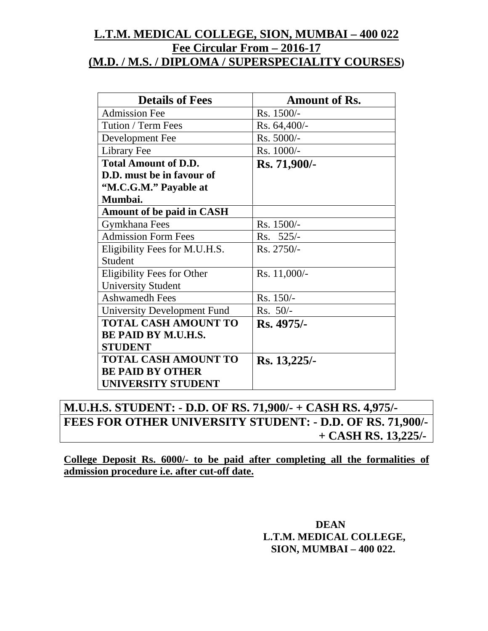### **L.T.M. MEDICAL COLLEGE, SION, MUMBAI – 400 022 Fee Circular From – 2016-17 (M.D. / M.S. / DIPLOMA / SUPERSPECIALITY COURSES)**

| <b>Details of Fees</b>           | <b>Amount of Rs.</b> |
|----------------------------------|----------------------|
| <b>Admission Fee</b>             | Rs. 1500/-           |
| Tution / Term Fees               | Rs. 64,400/-         |
| Development Fee                  | Rs. 5000/-           |
| Library Fee                      | Rs. 1000/-           |
| <b>Total Amount of D.D.</b>      | Rs. 71,900/-         |
| D.D. must be in favour of        |                      |
| "M.C.G.M." Payable at            |                      |
| Mumbai.                          |                      |
| <b>Amount of be paid in CASH</b> |                      |
| Gymkhana Fees                    | Rs. 1500/-           |
| <b>Admission Form Fees</b>       | Rs. 525/-            |
| Eligibility Fees for M.U.H.S.    | Rs. 2750/-           |
| Student                          |                      |
| Eligibility Fees for Other       | $Rs. 11,000/-$       |
| <b>University Student</b>        |                      |
| <b>Ashwamedh Fees</b>            | Rs. 150/-            |
| University Development Fund      | Rs. 50/-             |
| <b>TOTAL CASH AMOUNT TO</b>      | Rs. 4975/-           |
| <b>BE PAID BY M.U.H.S.</b>       |                      |
| <b>STUDENT</b>                   |                      |
| <b>TOTAL CASH AMOUNT TO</b>      | Rs. 13,225/-         |
| <b>BE PAID BY OTHER</b>          |                      |
| UNIVERSITY STUDENT               |                      |

### **M.U.H.S. STUDENT: - D.D. OF RS. 71,900/- + CASH RS. 4,975/- FEES FOR OTHER UNIVERSITY STUDENT: - D.D. OF RS. 71,900/- + CASH RS. 13,225/-**

**College Deposit Rs. 6000/- to be paid after completing all the formalities of admission procedure i.e. after cut-off date.**

> **DEAN L.T.M. MEDICAL COLLEGE, SION, MUMBAI – 400 022.**